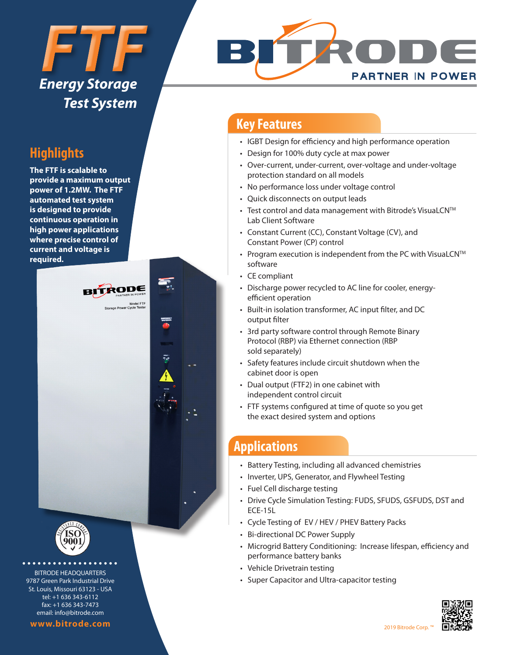# *FTF Energy Storage Test System*

# **Highlights**

**The FTF is scalable to provide a maximum output power of 1.2MW. The FTF automated test system is designed to provide continuous operation in high power applications where precise control of current and voltage is required.**





BITRODE HEADQUARTERS 9787 Green Park Industrial Drive St. Louis, Missouri 63123 - USA tel: +1 636 343-6112 fax: +1 636 343-7473 email: info@bitrode.com

#### **www.bitrode.com**



### **Key Features**

- IGBT Design for efficiency and high performance operation
- Design for 100% duty cycle at max power
- Over-current, under-current, over-voltage and under-voltage protection standard on all models
- No performance loss under voltage control
- Quick disconnects on output leads
- Test control and data management with Bitrode's VisuaLCN™ Lab Client Software
- Constant Current (CC), Constant Voltage (CV), and Constant Power (CP) control
- Program execution is independent from the PC with VisuaLCN<sup>™</sup> software
- CE compliant
- Discharge power recycled to AC line for cooler, energyefficient operation
- Built-in isolation transformer, AC input filter, and DC output filter
- 3rd party software control through Remote Binary Protocol (RBP) via Ethernet connection (RBP sold separately)
- Safety features include circuit shutdown when the cabinet door is open
- Dual output (FTF2) in one cabinet with independent control circuit
- FTF systems configured at time of quote so you get the exact desired system and options

# **Applications**

- Battery Testing, including all advanced chemistries
- Inverter, UPS, Generator, and Flywheel Testing
- Fuel Cell discharge testing
- Drive Cycle Simulation Testing: FUDS, SFUDS, GSFUDS, DST and ECE-15L
- Cycle Testing of EV / HEV / PHEV Battery Packs
- Bi-directional DC Power Supply
- Microgrid Battery Conditioning: Increase lifespan, efficiency and performance battery banks
- Vehicle Drivetrain testing
- Super Capacitor and Ultra-capacitor testing